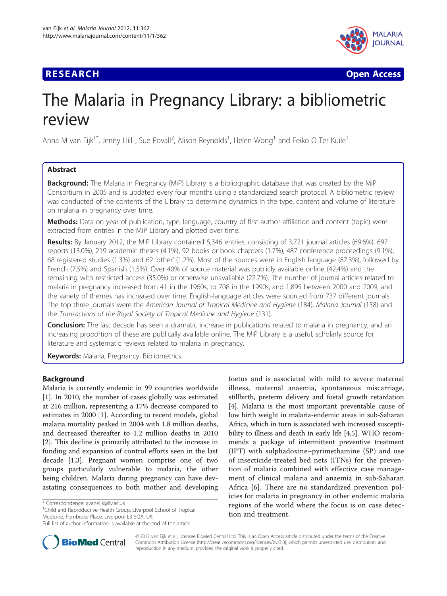## **RESEARCH CHEAR CHEAR CHEAR CHEAR CHEAR CHEAR CHEAR CHEAR CHEAR CHEAR CHEAR CHEAR CHEAR CHEAR CHEAR CHEAR CHEAR**



# The Malaria in Pregnancy Library: a bibliometric review

Anna M van Eijk<sup>1\*</sup>, Jenny Hill<sup>1</sup>, Sue Povall<sup>2</sup>, Alison Reynolds<sup>1</sup>, Helen Wong<sup>1</sup> and Feiko O Ter Kuile<sup>1</sup>

## Abstract

Background: The Malaria in Pregnancy (MiP) Library is a bibliographic database that was created by the MiP Consortium in 2005 and is updated every four months using a standardized search protocol. A bibliometric review was conducted of the contents of the Library to determine dynamics in the type, content and volume of literature on malaria in pregnancy over time.

Methods: Data on year of publication, type, language, country of first-author affiliation and content (topic) were extracted from entries in the MiP Library and plotted over time.

Results: By January 2012, the MiP Library contained 5,346 entries, consisting of 3,721 journal articles (69.6%), 697 reports (13.0%), 219 academic theses (4.1%), 92 books or book chapters (1.7%), 487 conference proceedings (9.1%), 68 registered studies (1.3%) and 62 'other' (1.2%). Most of the sources were in English language (87.3%), followed by French (7.5%) and Spanish (1.5%). Over 40% of source material was publicly available online (42.4%) and the remaining with restricted access (35.0%) or otherwise unavailable (22.7%). The number of journal articles related to malaria in pregnancy increased from 41 in the 1960s, to 708 in the 1990s, and 1,895 between 2000 and 2009, and the variety of themes has increased over time. English-language articles were sourced from 737 different journals. The top three journals were the American Journal of Tropical Medicine and Hygiene (184), Malaria Journal (158) and the Transactions of the Royal Society of Tropical Medicine and Hygiene (131).

Conclusion: The last decade has seen a dramatic increase in publications related to malaria in pregnancy, and an increasing proportion of these are publically available online. The MiP Library is a useful, scholarly source for literature and systematic reviews related to malaria in pregnancy.

**Keywords:** Malaria, Pregnancy, Bibliometrics

## Background

Malaria is currently endemic in 99 countries worldwide [[1\]](#page-10-0). In 2010, the number of cases globally was estimated at 216 million, representing a 17% decrease compared to estimates in 2000 [[1\]](#page-10-0). According to recent models, global malaria mortality peaked in 2004 with 1.8 million deaths, and decreased thereafter to 1.2 million deaths in 2010 [[2\]](#page-10-0). This decline is primarily attributed to the increase in funding and expansion of control efforts seen in the last decade [\[1,3](#page-10-0)]. Pregnant women comprise one of two groups particularly vulnerable to malaria, the other being children. Malaria during pregnancy can have devastating consequences to both mother and developing

<sup>1</sup>Child and Reproductive Health Group, Liverpool School of Tropical Medicine, Pembroke Place, Liverpool L3 5QA, UK

foetus and is associated with mild to severe maternal illness, maternal anaemia, spontaneous miscarriage, stillbirth, preterm delivery and foetal growth retardation [[4\]](#page-10-0). Malaria is the most important preventable cause of low birth weight in malaria-endemic areas in sub-Saharan Africa, which in turn is associated with increased susceptibility to illness and death in early life [\[4,5](#page-10-0)]. WHO recommends a package of intermittent preventive treatment (IPT) with sulphadoxine–pyrimethamine (SP) and use of insecticide-treated bed nets (ITNs) for the prevention of malaria combined with effective case management of clinical malaria and anaemia in sub-Saharan Africa [[6](#page-10-0)]. There are no standardized prevention policies for malaria in pregnancy in other endemic malaria regions of the world where the focus is on case detection and treatment.



© 2012 van Eijk et al.; licensee BioMed Central Ltd. This is an Open Access article distributed under the terms of the Creative Commons Attribution License [\(http://creativecommons.org/licenses/by/2.0\)](http://creativecommons.org/licenses/by/2.0), which permits unrestricted use, distribution, and reproduction in any medium, provided the original work is properly cited.

<sup>\*</sup> Correspondence: [avaneijk@liv.ac.uk](mailto:avaneijk@liv.ac.uk) <sup>1</sup>

Full list of author information is available at the end of the article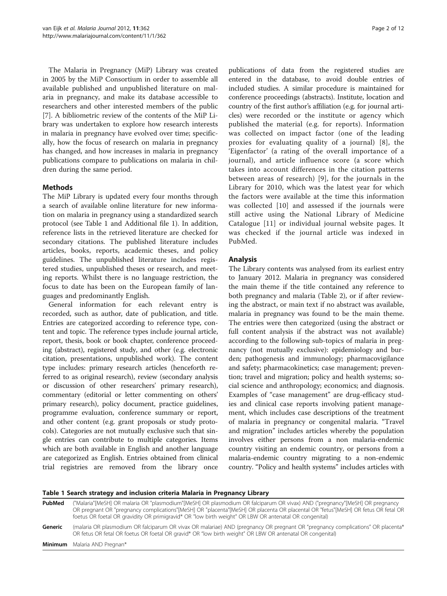<span id="page-1-0"></span>The Malaria in Pregnancy (MiP) Library was created in 2005 by the MiP Consortium in order to assemble all available published and unpublished literature on malaria in pregnancy, and make its database accessible to researchers and other interested members of the public [[7\]](#page-10-0). A bibliometric review of the contents of the MiP Library was undertaken to explore how research interests in malaria in pregnancy have evolved over time; specifically, how the focus of research on malaria in pregnancy has changed, and how increases in malaria in pregnancy publications compare to publications on malaria in children during the same period.

## Methods

The MiP Library is updated every four months through a search of available online literature for new information on malaria in pregnancy using a standardized search protocol (see Table 1 and Additional file [1\)](#page-10-0). In addition, reference lists in the retrieved literature are checked for secondary citations. The published literature includes articles, books, reports, academic theses, and policy guidelines. The unpublished literature includes registered studies, unpublished theses or research, and meeting reports. Whilst there is no language restriction, the focus to date has been on the European family of languages and predominantly English.

General information for each relevant entry is recorded, such as author, date of publication, and title. Entries are categorized according to reference type, content and topic. The reference types include journal article, report, thesis, book or book chapter, conference proceeding (abstract), registered study, and other (e.g. electronic citation, presentations, unpublished work). The content type includes: primary research articles (henceforth referred to as original research), review (secondary analysis or discussion of other researchers' primary research), commentary (editorial or letter commenting on others' primary research), policy document, practice guidelines, programme evaluation, conference summary or report, and other content (e.g. grant proposals or study protocols). Categories are not mutually exclusive such that single entries can contribute to multiple categories. Items which are both available in English and another language are categorized as English. Entries obtained from clinical trial registries are removed from the library once

publications of data from the registered studies are entered in the database, to avoid double entries of included studies. A similar procedure is maintained for conference proceedings (abstracts). Institute, location and country of the first author's affiliation (e.g. for journal articles) were recorded or the institute or agency which published the material (e.g. for reports). Information was collected on impact factor (one of the leading proxies for evaluating quality of a journal) [[8](#page-10-0)], the 'Eigenfactor' (a rating of the overall importance of a journal), and article influence score (a score which takes into account differences in the citation patterns between areas of research) [\[9](#page-10-0)], for the journals in the Library for 2010, which was the latest year for which the factors were available at the time this information was collected [\[10\]](#page-10-0) and assessed if the journals were still active using the National Library of Medicine Catalogue [[11\]](#page-10-0) or individual journal website pages. It was checked if the journal article was indexed in PubMed.

## Analysis

The Library contents was analysed from its earliest entry to January 2012. Malaria in pregnancy was considered the main theme if the title contained any reference to both pregnancy and malaria (Table [2](#page-2-0)), or if after reviewing the abstract, or main text if no abstract was available, malaria in pregnancy was found to be the main theme. The entries were then categorized (using the abstract or full content analysis if the abstract was not available) according to the following sub-topics of malaria in pregnancy (not mutually exclusive): epidemiology and burden; pathogenesis and immunology; pharmacovigilance and safety; pharmacokinetics; case management; prevention; travel and migration; policy and health systems; social science and anthropology; economics; and diagnosis. Examples of "case management" are drug-efficacy studies and clinical case reports involving patient management, which includes case descriptions of the treatment of malaria in pregnancy or congenital malaria. "Travel and migration" includes articles whereby the population involves either persons from a non malaria-endemic country visiting an endemic country, or persons from a malaria-endemic country migrating to a non-endemic country. "Policy and health systems" includes articles with

Table 1 Search strategy and inclusion criteria Malaria in Pregnancy Library

| PubMed  | ("Malaria"[MeSH] OR malaria OR "plasmodium"[MeSH] OR plasmodium OR falciparum OR vivax) AND ("pregnancy"[MeSH] OR pregnancy<br>OR pregnant OR "pregnancy complications"[MeSH] OR "placenta"[MeSH] OR placenta OR placental OR "fetus"[MeSH] OR fetus OR fetal OR<br>foetus OR foetal OR gravidity OR primigravid* OR "low birth weight" OR LBW OR antenatal OR congenital) |
|---------|----------------------------------------------------------------------------------------------------------------------------------------------------------------------------------------------------------------------------------------------------------------------------------------------------------------------------------------------------------------------------|
| Generic | (malaria OR plasmodium OR falciparum OR vivax OR malariae) AND (pregnancy OR pregnant OR "pregnancy complications" OR placenta*<br>OR fetus OR fetal OR foetus OR foetal OR gravid* OR "low birth weight" OR LBW OR antenatal OR congenital)                                                                                                                               |
|         | <b>Minimum</b> Malaria AND Pregnan*                                                                                                                                                                                                                                                                                                                                        |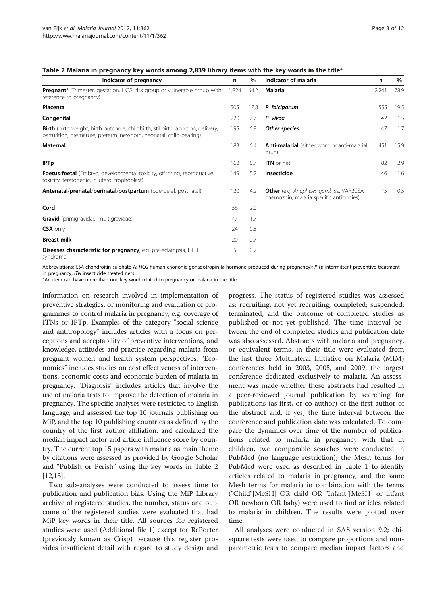<span id="page-2-0"></span>

| Table 2 Malaria in pregnancy key words among 2,839 library items with the key words in the title* |  |  |
|---------------------------------------------------------------------------------------------------|--|--|
|---------------------------------------------------------------------------------------------------|--|--|

| Indicator of pregnancy                                                                                                                                       | n     | %    | Indicator of malaria                                                                      | n     | $\%$ |
|--------------------------------------------------------------------------------------------------------------------------------------------------------------|-------|------|-------------------------------------------------------------------------------------------|-------|------|
| Pregnant* (Trimester, gestation, HCG, risk group or vulnerable group with<br>reference to pregnancy)                                                         | 1,824 | 64.2 | <b>Malaria</b>                                                                            | 2,241 | 78.9 |
| Placenta                                                                                                                                                     | 505   | 17.8 | P. falciparum                                                                             | 555   | 19.5 |
| Congenital                                                                                                                                                   | 220   | 7.7  | P. vivax                                                                                  | 42    | 1.5  |
| <b>Birth</b> (birth weight, birth outcome, childbirth, stillbirth, abortion, delivery,<br>parturition, premature, preterm, newborn, neonatal, child-bearing) | 195   | 6.9  | Other species                                                                             | 47    | 1.7  |
| Maternal                                                                                                                                                     | 183   | 6.4  | <b>Anti-malarial</b> (either word or anti-malarial<br>drug)                               | 451   | 15.9 |
| <b>IPTp</b>                                                                                                                                                  | 162   | 5.7  | ITN or net                                                                                | 82    | 2.9  |
| Foetus/foetal (Embryo, developmental toxicity, offspring, reproductive<br>toxicity, teratogenic, in utero, trophoblast)                                      | 149   | 5.2  | Insecticide                                                                               | 46    | 1.6  |
| Antenatal/prenatal/perinatal/postpartum (puerperal, postnatal)                                                                                               | 120   | 4.2  | <b>Other</b> (e.g. Anopheles gambiae, VAR2CSA,<br>haemozoin, malaria specific antibodies) | 15    | 0.5  |
| Cord                                                                                                                                                         | 56    | 2.0  |                                                                                           |       |      |
| Gravid (primigravidae, multigravidae)                                                                                                                        | 47    | 1.7  |                                                                                           |       |      |
| <b>CSA only</b>                                                                                                                                              | 24    | 0.8  |                                                                                           |       |      |
| <b>Breast milk</b>                                                                                                                                           | 20    | 0.7  |                                                                                           |       |      |
| <b>Diseases characteristic for pregnancy</b> , e.g. pre-eclampsia, HELLP<br>syndrome                                                                         | 5     | 0.2  |                                                                                           |       |      |

Abbreviations: CSA chondroitin sulphate A; HCG human chorionic gonadotropin (a hormone produced during pregnancy); IPTp intermittent preventive treatment in pregnancy; ITN insecticide treated nets.

\*An item can have more than one key word related to pregnancy or malaria in the title.

information on research involved in implementation of preventive strategies, or monitoring and evaluation of programmes to control malaria in pregnancy, e.g. coverage of ITNs or IPTp. Examples of the category "social science and anthropology" includes articles with a focus on perceptions and acceptability of preventive interventions, and knowledge, attitudes and practice regarding malaria from pregnant women and health system perspectives. "Economics" includes studies on cost effectiveness of interventions, economic costs and economic burden of malaria in pregnancy. "Diagnosis" includes articles that involve the use of malaria tests to improve the detection of malaria in pregnancy. The specific analyses were restricted to English language, and assessed the top 10 journals publishing on MiP, and the top 10 publishing countries as defined by the country of the first author affiliation, and calculated the median impact factor and article influence score by country. The current top 15 papers with malaria as main theme by citations were assessed as provided by Google Scholar and "Publish or Perish" using the key words in Table 2 [[12,13](#page-10-0)].

Two sub-analyses were conducted to assess time to publication and publication bias. Using the MiP Library archive of registered studies, the number, status and outcome of the registered studies were evaluated that had MiP key words in their title. All sources for registered studies were used (Additional file [1](#page-10-0)) except for RePorter (previously known as Crisp) because this register provides insufficient detail with regard to study design and

progress. The status of registered studies was assessed as: recruiting; not yet recruiting; completed; suspended; terminated, and the outcome of completed studies as published or not yet published. The time interval between the end of completed studies and publication date was also assessed. Abstracts with malaria and pregnancy, or equivalent terms, in their title were evaluated from the last three Multilateral Initiative on Malaria (MIM) conferences held in 2003, 2005, and 2009, the largest conference dedicated exclusively to malaria. An assessment was made whether these abstracts had resulted in a peer-reviewed journal publication by searching for publications (as first, or co-author) of the first author of the abstract and, if yes, the time interval between the conference and publication date was calculated. To compare the dynamics over time of the number of publications related to malaria in pregnancy with that in children, two comparable searches were conducted in PubMed (no language restriction); the Mesh terms for PubMed were used as described in Table [1](#page-1-0) to identify articles related to malaria in pregnancy, and the same Mesh terms for malaria in combination with the terms ("Child"[MeSH] OR child OR "Infant"[MeSH] or infant OR newborn OR baby) were used to find articles related to malaria in children. The results were plotted over time.

All analyses were conducted in SAS version 9.2; chisquare tests were used to compare proportions and nonparametric tests to compare median impact factors and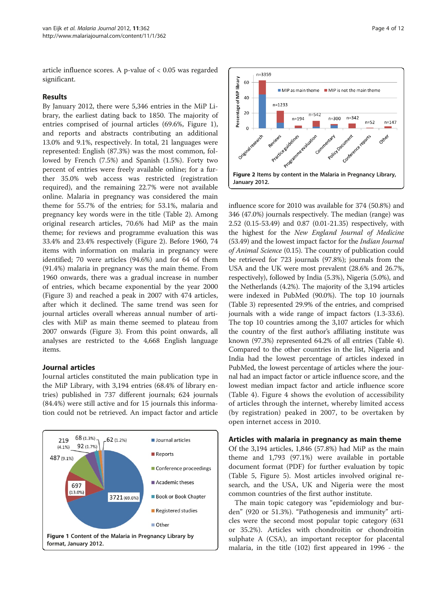article influence scores. A p-value of < 0.05 was regarded significant.

#### Results

By January 2012, there were 5,346 entries in the MiP Library, the earliest dating back to 1850. The majority of entries comprised of journal articles (69.6%, Figure 1), and reports and abstracts contributing an additional 13.0% and 9.1%, respectively. In total, 21 languages were represented: English (87.3%) was the most common, followed by French (7.5%) and Spanish (1.5%). Forty two percent of entries were freely available online; for a further 35.0% web access was restricted (registration required), and the remaining 22.7% were not available online. Malaria in pregnancy was considered the main theme for 55.7% of the entries; for 53.1%, malaria and pregnancy key words were in the title (Table [2](#page-2-0)). Among original research articles, 70.6% had MiP as the main theme; for reviews and programme evaluation this was 33.4% and 23.4% respectively (Figure 2). Before 1960, 74 items with information on malaria in pregnancy were identified; 70 were articles (94.6%) and for 64 of them (91.4%) malaria in pregnancy was the main theme. From 1960 onwards, there was a gradual increase in number of entries, which became exponential by the year 2000 (Figure [3](#page-4-0)) and reached a peak in 2007 with 474 articles, after which it declined. The same trend was seen for journal articles overall whereas annual number of articles with MiP as main theme seemed to plateau from 2007 onwards (Figure [3](#page-4-0)). From this point onwards, all analyses are restricted to the 4,668 English language items.

#### Journal articles

Journal articles constituted the main publication type in the MiP Library, with 3,194 entries (68.4% of library entries) published in 737 different journals; 624 journals (84.4%) were still active and for 15 journals this information could not be retrieved. An impact factor and article





influence score for 2010 was available for 374 (50.8%) and 346 (47.0%) journals respectively. The median (range) was 2.52 (0.15-53.49) and 0.87 (0.01-21.35) respectively, with the highest for the New England Journal of Medicine (53.49) and the lowest impact factor for the Indian Journal of Animal Science (0.15). The country of publication could be retrieved for 723 journals (97.8%); journals from the USA and the UK were most prevalent (28.6% and 26.7%, respectively), followed by India (5.3%), Nigeria (5.0%), and the Netherlands (4.2%). The majority of the 3,194 articles were indexed in PubMed (90.0%). The top 10 journals (Table [3](#page-4-0)) represented 29.9% of the entries, and comprised journals with a wide range of impact factors (1.3-33.6). The top 10 countries among the 3,107 articles for which the country of the first author's affiliating institute was known (97.3%) represented 64.2% of all entries (Table [4](#page-5-0)). Compared to the other countries in the list, Nigeria and India had the lowest percentage of articles indexed in PubMed, the lowest percentage of articles where the journal had an impact factor or article influence score, and the lowest median impact factor and article influence score (Table [4\)](#page-5-0). Figure [4](#page-5-0) shows the evolution of accessibility of articles through the internet, whereby limited access (by registration) peaked in 2007, to be overtaken by open internet access in 2010.

#### Articles with malaria in pregnancy as main theme

Of the 3,194 articles, 1,846 (57.8%) had MiP as the main theme and 1,793 (97.1%) were available in portable document format (PDF) for further evaluation by topic (Table [5,](#page-6-0) Figure [5](#page-6-0)). Most articles involved original research, and the USA, UK and Nigeria were the most common countries of the first author institute.

The main topic category was "epidemiology and burden" (920 or 51.3%). "Pathogenesis and immunity" articles were the second most popular topic category (631 or 35.2%). Articles with chondroitin or chondroitin sulphate A (CSA), an important receptor for placental malaria, in the title (102) first appeared in 1996 - the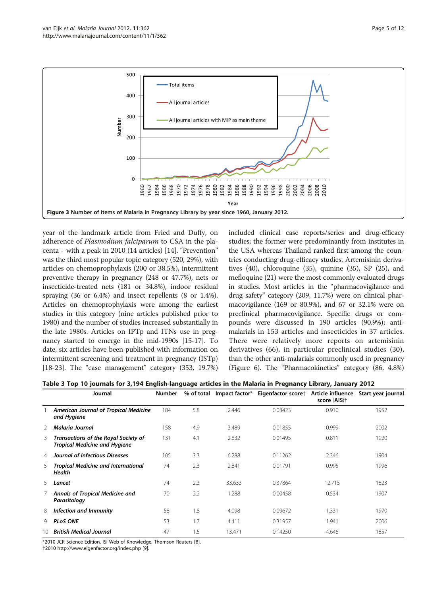<span id="page-4-0"></span>

year of the landmark article from Fried and Duffy, on adherence of Plasmodium falciparum to CSA in the placenta - with a peak in 2010 (14 articles) [[14](#page-10-0)]. "Prevention" was the third most popular topic category (520, 29%), with articles on chemoprophylaxis (200 or 38.5%), intermittent preventive therapy in pregnancy (248 or 47.7%), nets or insecticide-treated nets (181 or 34.8%), indoor residual spraying (36 or 6.4%) and insect repellents (8 or 1.4%). Articles on chemoprophylaxis were among the earliest studies in this category (nine articles published prior to 1980) and the number of studies increased substantially in the late 1980s. Articles on IPTp and ITNs use in pregnancy started to emerge in the mid-1990s [\[15-17\]](#page-11-0). To date, six articles have been published with information on intermittent screening and treatment in pregnancy (ISTp) [[18](#page-11-0)-[23\]](#page-11-0). The "case management" category (353, 19.7%)

included clinical case reports/series and drug-efficacy studies; the former were predominantly from institutes in the USA whereas Thailand ranked first among the countries conducting drug-efficacy studies. Artemisinin derivatives (40), chloroquine (35), quinine (35), SP (25), and mefloquine (21) were the most commonly evaluated drugs in studies. Most articles in the "pharmacovigilance and drug safety" category (209, 11.7%) were on clinical pharmacovigilance (169 or 80.9%), and 67 or 32.1% were on preclinical pharmacovigilance. Specific drugs or compounds were discussed in 190 articles (90.9%); antimalarials in 153 articles and insecticides in 37 articles. There were relatively more reports on artemisinin derivatives (66), in particular preclinical studies (30), than the other anti-malarials commonly used in pregnancy (Figure [6](#page-7-0)). The "Pharmacokinetics" category (86, 4.8%)

Table 3 Top 10 journals for 3,194 English-language articles in the Malaria in Pregnancy Library, January 2012

|    | Journal                                                                      | Number | % of total |        | Impact factor* Eigenfactor score† Article influence | score (AIS) <sup>+</sup> | Start year journal |
|----|------------------------------------------------------------------------------|--------|------------|--------|-----------------------------------------------------|--------------------------|--------------------|
|    | American Journal of Tropical Medicine<br>and Hygiene                         | 184    | 5.8        | 2.446  | 0.03423                                             | 0.910                    | 1952               |
|    | Malaria Journal                                                              | 158    | 4.9        | 3.489  | 0.01855                                             | 0.999                    | 2002               |
| 3  | Transactions of the Royal Society of<br><b>Tropical Medicine and Hygiene</b> | 131    | 4.1        | 2.832  | 0.01495                                             | 0.811                    | 1920               |
| 4  | Journal of Infectious Diseases                                               | 105    | 3.3        | 6.288  | 0.11262                                             | 2.346                    | 1904               |
| 5  | <b>Tropical Medicine and International</b><br>Health                         | 74     | 2.3        | 2.841  | 0.01791                                             | 0.995                    | 1996               |
| 5. | Lancet                                                                       | 74     | 2.3        | 33.633 | 0.37864                                             | 12.715                   | 1823               |
|    | Annals of Tropical Medicine and<br>Parasitology                              | 70     | 2.2        | .288   | 0.00458                                             | 0.534                    | 1907               |
| 8  | Infection and Immunity                                                       | 58     | 1.8        | 4.098  | 0.09672                                             | 1.331                    | 1970               |
| 9  | <b>PLOS ONE</b>                                                              | 53     | 1.7        | 4.411  | 0.31957                                             | 1.941                    | 2006               |
| 10 | <b>British Medical Journal</b>                                               | 47     | 1.5        | 13.471 | 0.14250                                             | 4.646                    | 1857               |

\*2010 JCR Science Edition, ISI Web of Knowledge, Thomson Reuters [[8](#page-10-0)].

†2010 <http://www.eigenfactor.org/index.php> [\[9\]](#page-10-0).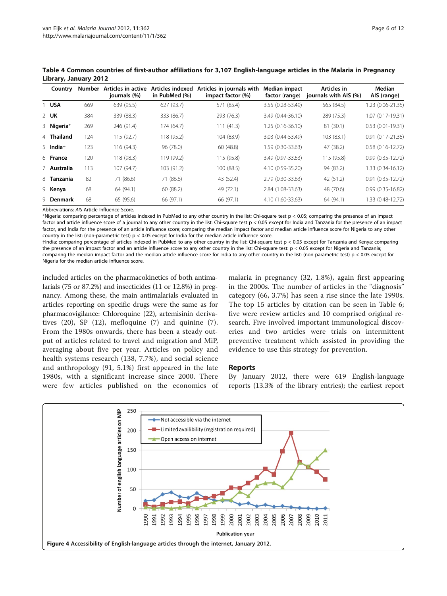| Country     | Number | Articles in active<br>journals (%) | Articles indexed<br>in PubMed (%) | Articles in journals with<br>impact factor (%) | Median impact<br>factor (range) | Articles in<br>journals with AIS (%) | Median<br>AIS (range) |
|-------------|--------|------------------------------------|-----------------------------------|------------------------------------------------|---------------------------------|--------------------------------------|-----------------------|
| I USA       | 669    | 639 (95.5)                         | 627(93.7)                         | 571 (85.4)                                     | 3.55 (0.28-53.49)               | 565 (84.5)                           | 1.23 (0.06-21.35)     |
| 2 UK        | 384    | 339 (88.3)                         | 333 (86.7)                        | 293 (76.3)                                     | 3.49 (0.44-36.10)               | 289 (75.3)                           | 1.07 (0.17-19.31)     |
| 3 Nigeria*  | 269    | 246 (91.4)                         | 174(64.7)                         | 111(41.3)                                      | 1.25 (0.16-36.10)               | 81 (30.1)                            | $0.53(0.01-19.31)$    |
| 4 Thailand  | 124    | 115 (92.7)                         | 118 (95.2)                        | 104 (83.9)                                     | 3.03 (0.44-53.49)               | 103 (83.1)                           | $0.91(0.17 - 21.35)$  |
| $5$ Indiat  | 123    | 116 (94.3)                         | 96 (78.0)                         | 60(48.8)                                       | 1.59 (0.30-33.63)               | 47 (38.2)                            | $0.58(0.16 - 12.72)$  |
| 6 France    | 120    | 118 (98.3)                         | 119 (99.2)                        | 115 (95.8)                                     | 3.49 (0.97-33.63)               | 115 (95.8)                           | $0.99(0.35 - 12.72)$  |
| 7 Australia | 113    | 107 (94.7)                         | 103 (91.2)                        | 100 (88.5)                                     | 4.10 (0.59-35.20)               | 94 (83.2)                            | 1.33 (0.34-16.12)     |
| 8 Tanzania  | 82     | 71 (86.6)                          | 71 (86.6)                         | 43 (52.4)                                      | 2.79 (0.30-33.63)               | 42 (51.2)                            | $0.91(0.35-12.72)$    |
| 9 Kenya     | 68     | 64 (94.1)                          | 60 (88.2)                         | 49 (72.1)                                      | 2.84 (1.08-33.63)               | 48 (70.6)                            | $0.99(0.35-16.82)$    |
| 9 Denmark   | 68     | 65(95.6)                           | 66 (97.1)                         | 66 (97.1)                                      | 4.10 (1.60-33.63)               | 64 (94.1)                            | 1.33 (0.48-12.72)     |

<span id="page-5-0"></span>Table 4 Common countries of first-author affiliations for 3,107 English-language articles in the Malaria in Pregnancy Library, January 2012

Abbreviations: AIS Article Influence Score.

\*Nigeria: comparing percentage of articles indexed in PubMed to any other country in the list: Chi-square test p < 0.05; comparing the presence of an impact factor and article influence score of a journal to any other country in the list: Chi-square test  $p < 0.05$  except for India and Tanzania for the presence of an impact factor, and India for the presence of an article influence score; comparing the median impact factor and median article influence score for Nigeria to any other country in the list: (non-parametric test) p < 0.05 except for India for the median article influence score.

†India: comparing percentage of articles indexed in PubMed to any other country in the list: Chi-square test p < 0.05 except for Tanzania and Kenya; comparing the presence of an impact factor and an article influence score to any other country in the list: Chi-square test: p < 0.05 except for Nigeria and Tanzania; comparing the median impact factor and the median article influence score for India to any other country in the list: (non-parametric test)  $p < 0.05$  except for Nigeria for the median article influence score.

included articles on the pharmacokinetics of both antimalarials (75 or 87.2%) and insecticides (11 or 12.8%) in pregnancy. Among these, the main antimalarials evaluated in articles reporting on specific drugs were the same as for pharmacovigilance: Chloroquine (22), artemisinin derivatives (20), SP (12), mefloquine (7) and quinine (7). From the 1980s onwards, there has been a steady output of articles related to travel and migration and MiP, averaging about five per year. Articles on policy and health systems research (138, 7.7%), and social science and anthropology (91, 5.1%) first appeared in the late 1980s, with a significant increase since 2000. There were few articles published on the economics of

malaria in pregnancy (32, 1.8%), again first appearing in the 2000s. The number of articles in the "diagnosis" category (66, 3.7%) has seen a rise since the late 1990s. The top 15 articles by citation can be seen in Table [6](#page-7-0); five were review articles and 10 comprised original research. Five involved important immunological discoveries and two articles were trials on intermittent preventive treatment which assisted in providing the evidence to use this strategy for prevention.

#### Reports

By January 2012, there were 619 English-language reports (13.3% of the library entries); the earliest report

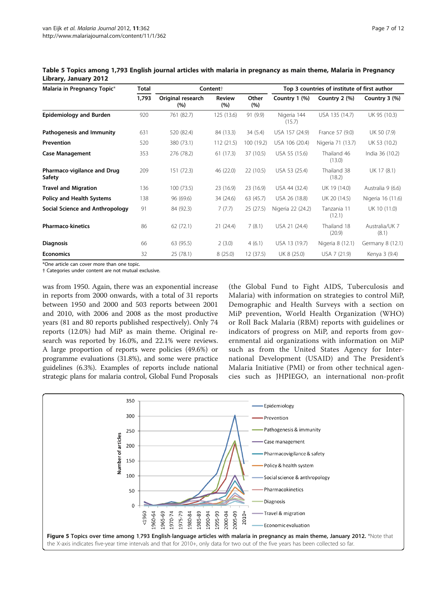| Total |                          |                      |                      | Top 3 countries of institute of first author |                       |                         |  |
|-------|--------------------------|----------------------|----------------------|----------------------------------------------|-----------------------|-------------------------|--|
| 1,793 | Original research<br>(%) | <b>Review</b><br>(%) | Other<br>(%)         | Country 1 (%)                                | Country 2 (%)         | Country 3 (%)           |  |
| 920   | 761 (82.7)               | 125 (13.6)           | 91 (9.9)             | Nigeria 144<br>(15.7)                        | USA 135 (14.7)        | UK 95 (10.3)            |  |
| 631   | 520 (82.4)               | 84 (13.3)            | 34 (5.4)             | USA 157 (24.9)                               | France 57 (9.0)       | UK 50 (7.9)             |  |
| 520   | 380 (73.1)               | 112 (21.5)           | 100 (19.2)           | USA 106 (20.4)                               | Nigeria 71 (13.7)     | UK 53 (10.2)            |  |
| 353   | 276 (78.2)               | 61(17.3)             | 37 (10.5)            | USA 55 (15.6)                                | Thailand 46<br>(13.0) | India 36 (10.2)         |  |
| 209   | 151 (72.3)               | 46 (22.0)            | 22(10.5)             | USA 53 (25.4)                                | Thailand 38<br>(18.2) | UK 17 (8.1)             |  |
| 136   | 100 (73.5)               | 23 (16.9)            | 23 (16.9)            | USA 44 (32.4)                                | UK 19 (14.0)          | Australia 9 (6.6)       |  |
| 138   | 96 (69.6)                | 34 (24.6)            | 63 (45.7)            | USA 26 (18.8)                                | UK 20 (14.5)          | Nigeria 16 (11.6)       |  |
| 91    | 84 (92.3)                | 7(7.7)               | 25(27.5)             | Nigeria 22 (24.2)                            | Tanzania 11<br>(12.1) | UK 10 (11.0)            |  |
| 86    | 62(72.1)                 | 21(24.4)             | 7(8.1)               | USA 21 (24.4)                                | Thailand 18<br>(20.9) | Australia/UK 7<br>(8.1) |  |
| 66    | 63 (95.5)                | 2(3.0)               | 4(6.1)               | USA 13 (19.7)                                | Nigeria 8 (12.1)      | Germany 8 (12.1)        |  |
| 32    | 25 (78.1)                | 8(25.0)              | 12 (37.5)            | UK 8 (25.0)                                  | USA 7 (21.9)          | Kenya 3 (9.4)           |  |
|       |                          |                      | Content <sup>+</sup> |                                              |                       |                         |  |

<span id="page-6-0"></span>Table 5 Topics among 1,793 English journal articles with malaria in pregnancy as main theme, Malaria in Pregnancy Library, January 2012

\*One article can cover more than one topic.

† Categories under content are not mutual exclusive.

was from 1950. Again, there was an exponential increase in reports from 2000 onwards, with a total of 31 reports between 1950 and 2000 and 503 reports between 2001 and 2010, with 2006 and 2008 as the most productive years (81 and 80 reports published respectively). Only 74 reports (12.0%) had MiP as main theme. Original research was reported by 16.0%, and 22.1% were reviews. A large proportion of reports were policies (49.6%) or programme evaluations (31.8%), and some were practice guidelines (6.3%). Examples of reports include national strategic plans for malaria control, Global Fund Proposals (the Global Fund to Fight AIDS, Tuberculosis and Malaria) with information on strategies to control MiP, Demographic and Health Surveys with a section on MiP prevention, World Health Organization (WHO) or Roll Back Malaria (RBM) reports with guidelines or indicators of progress on MiP, and reports from governmental aid organizations with information on MiP such as from the United States Agency for International Development (USAID) and The President's Malaria Initiative (PMI) or from other technical agencies such as JHPIEGO, an international non-profit

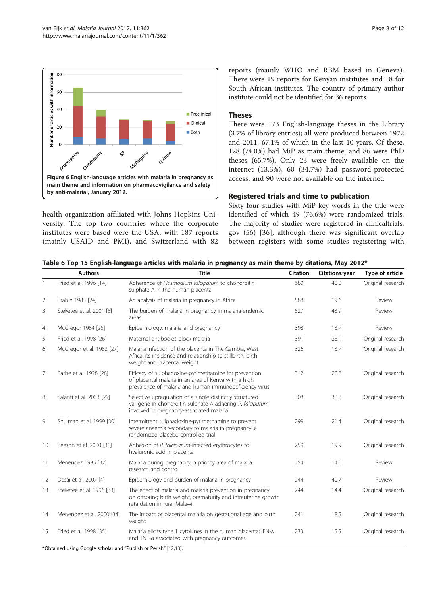<span id="page-7-0"></span>

health organization affiliated with Johns Hopkins University. The top two countries where the corporate institutes were based were the USA, with 187 reports (mainly USAID and PMI), and Switzerland with 82 reports (mainly WHO and RBM based in Geneva). There were 19 reports for Kenyan institutes and 18 for South African institutes. The country of primary author institute could not be identified for 36 reports.

#### Theses

There were 173 English-language theses in the Library (3.7% of library entries); all were produced between 1972 and 2011, 67.1% of which in the last 10 years. Of these, 128 (74.0%) had MiP as main theme, and 86 were PhD theses (65.7%). Only 23 were freely available on the internet (13.3%), 60 (34.7%) had password-protected access, and 90 were not available on the internet.

## Registered trials and time to publication

Sixty four studies with MiP key words in the title were identified of which 49 (76.6%) were randomized trials. The majority of studies were registered in clinicaltrials. gov (56) [\[36\]](#page-11-0), although there was significant overlap between registers with some studies registering with

|    | <b>Authors</b>            | <b>Title</b>                                                                                                                                                            | <b>Citation</b> | Citations/year | Type of article   |
|----|---------------------------|-------------------------------------------------------------------------------------------------------------------------------------------------------------------------|-----------------|----------------|-------------------|
|    | Fried et al. 1996 [14]    | Adherence of Plasmodium falciparum to chondroitin<br>sulphate A in the human placenta                                                                                   | 680             | 40.0           | Original research |
| 2  | Brabin 1983 [24]          | An analysis of malaria in pregnancy in Africa                                                                                                                           | 588             | 19.6           | Review            |
| 3  | Steketee et al. 2001 [5]  | The burden of malaria in pregnancy in malaria-endemic<br>areas                                                                                                          | 527             | 43.9           | Review            |
| 4  | McGregor 1984 [25]        | Epidemiology, malaria and pregnancy                                                                                                                                     | 398             | 13.7           | Review            |
| 5  | Fried et al. 1998 [26]    | Maternal antibodies block malaria                                                                                                                                       | 391             | 26.1           | Original research |
| 6  | McGregor et al. 1983 [27] | Malaria infection of the placenta in The Gambia, West<br>Africa: its incidence and relationship to stillbirth, birth<br>weight and placental weight                     | 326             | 13.7           | Original research |
| 7  | Parise et al. 1998 [28]   | Efficacy of sulphadoxine-pyrimethamine for prevention<br>of placental malaria in an area of Kenya with a high<br>prevalence of malaria and human immunodeficiency virus | 312             | 20.8           | Original research |
| 8  | Salanti et al. 2003 [29]  | Selective upregulation of a single distinctly structured<br>var gene in chondroitin sulphate A-adhering P. falciparum<br>involved in pregnancy-associated malaria       | 308             | 30.8           | Original research |
| 9  | Shulman et al. 1999 [30]  | Intermittent sulphadoxine-pyrimethamine to prevent<br>severe anaemia secondary to malaria in pregnancy: a<br>randomized placebo-controlled trial                        | 299             | 21.4           | Original research |
| 10 | Beeson et al. 2000 [31]   | Adhesion of P. falciparum-infected erythrocytes to<br>hyaluronic acid in placenta                                                                                       | 259             | 19.9           | Original research |
| 11 | Menendez 1995 [32]        | Malaria during pregnancy: a priority area of malaria<br>research and control                                                                                            | 254             | 14.1           | Review            |
| 12 | Desai et al. 2007 [4]     | Epidemiology and burden of malaria in pregnancy                                                                                                                         | 244             | 40.7           | Review            |
| 13 | Steketee et al. 1996 [33] | The effect of malaria and malaria prevention in pregnancy<br>on offspring birth weight, prematurity and intrauterine growth<br>retardation in rural Malawi              | 244             | 14.4           | Original research |
| 14 | Menendez et al. 2000 [34] | The impact of placental malaria on gestational age and birth<br>weight                                                                                                  | 241             | 18.5           | Original research |
| 15 | Fried et al. 1998 [35]    | Malaria elicits type 1 cytokines in the human placenta; IFN- $\lambda$<br>and TNF-a associated with pregnancy outcomes                                                  | 233             | 15.5           | Original research |

\*Obtained using Google scholar and "Publish or Perish" [[12,13](#page-10-0)].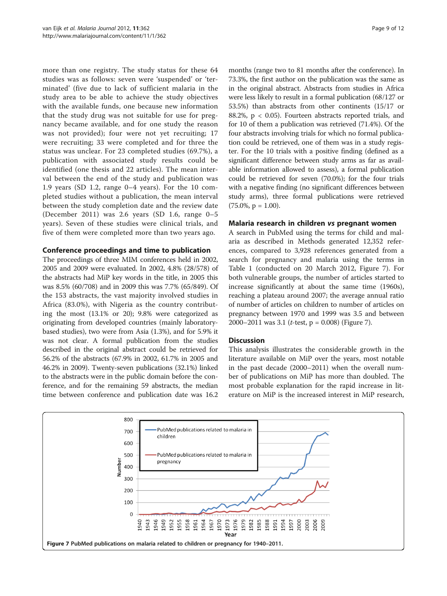<span id="page-8-0"></span>more than one registry. The study status for these 64 studies was as follows: seven were 'suspended' or 'terminated' (five due to lack of sufficient malaria in the study area to be able to achieve the study objectives with the available funds, one because new information that the study drug was not suitable for use for pregnancy became available, and for one study the reason was not provided); four were not yet recruiting; 17 were recruiting; 33 were completed and for three the status was unclear. For 23 completed studies (69.7%), a publication with associated study results could be identified (one thesis and 22 articles). The mean interval between the end of the study and publication was 1.9 years (SD 1.2, range 0–4 years). For the 10 completed studies without a publication, the mean interval between the study completion date and the review date (December 2011) was 2.6 years (SD 1.6, range 0–5 years). Seven of these studies were clinical trials, and five of them were completed more than two years ago.

## Conference proceedings and time to publication

The proceedings of three MIM conferences held in 2002, 2005 and 2009 were evaluated. In 2002, 4.8% (28/578) of the abstracts had MiP key words in the title, in 2005 this was 8.5% (60/708) and in 2009 this was 7.7% (65/849). Of the 153 abstracts, the vast majority involved studies in Africa (83.0%), with Nigeria as the country contributing the most (13.1% or 20); 9.8% were categorized as originating from developed countries (mainly laboratorybased studies), two were from Asia (1.3%), and for 5.9% it was not clear. A formal publication from the studies described in the original abstract could be retrieved for 56.2% of the abstracts (67.9% in 2002, 61.7% in 2005 and 46.2% in 2009). Twenty-seven publications (32.1%) linked to the abstracts were in the public domain before the conference, and for the remaining 59 abstracts, the median time between conference and publication date was 16.2

months (range two to 81 months after the conference). In 73.3%, the first author on the publication was the same as in the original abstract. Abstracts from studies in Africa were less likely to result in a formal publication (68/127 or 53.5%) than abstracts from other continents (15/17 or 88.2%, p < 0.05). Fourteen abstracts reported trials, and for 10 of them a publication was retrieved (71.4%). Of the four abstracts involving trials for which no formal publication could be retrieved, one of them was in a study register. For the 10 trials with a positive finding (defined as a significant difference between study arms as far as available information allowed to assess), a formal publication could be retrieved for seven (70.0%); for the four trials with a negative finding (no significant differences between study arms), three formal publications were retrieved  $(75.0\%, p = 1.00)$ .

## Malaria research in children vs pregnant women

A search in PubMed using the terms for child and malaria as described in Methods generated 12,352 references, compared to 3,928 references generated from a search for pregnancy and malaria using the terms in Table [1](#page-1-0) (conducted on 20 March 2012, Figure 7). For both vulnerable groups, the number of articles started to increase significantly at about the same time (1960s), reaching a plateau around 2007; the average annual ratio of number of articles on children to number of articles on pregnancy between 1970 and 1999 was 3.5 and between 2000–2011 was 3.1 (*t*-test,  $p = 0.008$ ) (Figure 7).

## Discussion

This analysis illustrates the considerable growth in the literature available on MiP over the years, most notable in the past decade (2000–2011) when the overall number of publications on MiP has more than doubled. The most probable explanation for the rapid increase in literature on MiP is the increased interest in MiP research,

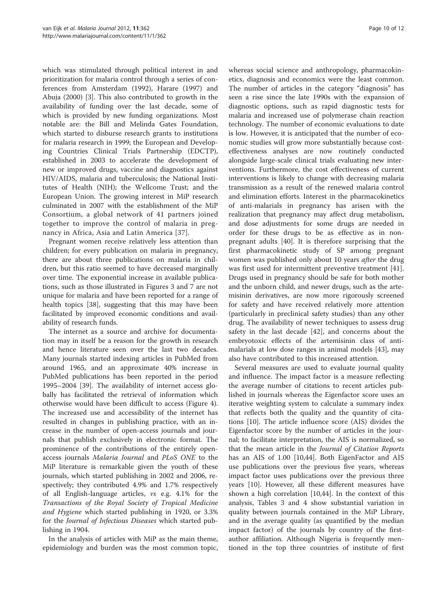which was stimulated through political interest in and prioritization for malaria control through a series of conferences from Amsterdam (1992), Harare (1997) and Abuja (2000) [[3\]](#page-10-0). This also contributed to growth in the availability of funding over the last decade, some of which is provided by new funding organizations. Most notable are: the Bill and Melinda Gates Foundation, which started to disburse research grants to institutions for malaria research in 1999; the European and Developing Countries Clinical Trials Partnership (EDCTP), established in 2003 to accelerate the development of new or improved drugs, vaccine and diagnostics against HIV/AIDS, malaria and tuberculosis; the National Institutes of Health (NIH); the Wellcome Trust; and the European Union. The growing interest in MiP research culminated in 2007 with the establishment of the MiP Consortium, a global network of 41 partners joined together to improve the control of malaria in pregnancy in Africa, Asia and Latin America [[37](#page-11-0)].

Pregnant women receive relatively less attention than children; for every publication on malaria in pregnancy, there are about three publications on malaria in children, but this ratio seemed to have decreased marginally over time. The exponential increase in available publications, such as those illustrated in Figures [3](#page-4-0) and [7](#page-8-0) are not unique for malaria and have been reported for a range of health topics [[38\]](#page-11-0), suggesting that this may have been facilitated by improved economic conditions and availability of research funds.

The internet as a source and archive for documentation may in itself be a reason for the growth in research and hence literature seen over the last two decades. Many journals started indexing articles in PubMed from around 1965, and an approximate 40% increase in PubMed publications has been reported in the period 1995–2004 [\[39](#page-11-0)]. The availability of internet access globally has facilitated the retrieval of information which otherwise would have been difficult to access (Figure [4](#page-5-0)). The increased use and accessibility of the internet has resulted in changes in publishing practice, with an increase in the number of open-access journals and journals that publish exclusively in electronic format. The prominence of the contributions of the entirely openaccess journals Malaria Journal and PLoS ONE to the MiP literature is remarkable given the youth of these journals, which started publishing in 2002 and 2006, respectively; they contributed 4.9% and 1.7% respectively of all English-language articles, vs e.g. 4.1% for the Transactions of the Royal Society of Tropical Medicine and Hygiene which started publishing in 1920, or 3.3% for the Journal of Infectious Diseases which started publishing in 1904.

In the analysis of articles with MiP as the main theme, epidemiology and burden was the most common topic,

whereas social science and anthropology, pharmacokinetics, diagnosis and economics were the least common. The number of articles in the category "diagnosis" has seen a rise since the late 1990s with the expansion of diagnostic options, such as rapid diagnostic tests for malaria and increased use of polymerase chain reaction technology. The number of economic evaluations to date is low. However, it is anticipated that the number of economic studies will grow more substantially because costeffectiveness analyses are now routinely conducted alongside large-scale clinical trials evaluating new interventions. Furthermore, the cost effectiveness of current interventions is likely to change with decreasing malaria transmission as a result of the renewed malaria control and elimination efforts. Interest in the pharmacokinetics of anti-malarials in pregnancy has arisen with the realization that pregnancy may affect drug metabolism, and dose adjustments for some drugs are needed in order for these drugs to be as effective as in nonpregnant adults [[40](#page-11-0)]. It is therefore surprising that the first pharmacokinetic study of SP among pregnant women was published only about 10 years *after* the drug was first used for intermittent preventive treatment [\[41](#page-11-0)]. Drugs used in pregnancy should be safe for both mother and the unborn child, and newer drugs, such as the artemisinin derivatives, are now more rigorously screened for safety and have received relatively more attention (particularly in preclinical safety studies) than any other drug. The availability of newer techniques to assess drug safety in the last decade [\[42](#page-11-0)], and concerns about the embryotoxic effects of the artemisinin class of antimalarials at low dose ranges in animal models [\[43\]](#page-11-0), may also have contributed to this increased attention.

Several measures are used to evaluate journal quality and influence. The impact factor is a measure reflecting the average number of citations to recent articles published in journals whereas the Eigenfactor score uses an iterative weighting system to calculate a summary index that reflects both the quality and the quantity of citations [\[10\]](#page-10-0). The article influence score (AIS) divides the Eigenfactor score by the number of articles in the journal; to facilitate interpretation, the AIS is normalized, so that the mean article in the Journal of Citation Reports has an AIS of 1.00 [[10,](#page-10-0)[44\]](#page-11-0). Both EigenFactor and AIS use publications over the previous five years, whereas impact factor uses publications over the previous three years [[10](#page-10-0)]. However, all these different measures have shown a high correlation [[10,](#page-10-0)[44\]](#page-11-0). In the context of this analysis, Tables [3](#page-4-0) and [4](#page-5-0) show substantial variation in quality between journals contained in the MiP Library, and in the average quality (as quantified by the median impact factor) of the journals by country of the firstauthor affiliation. Although Nigeria is frequently mentioned in the top three countries of institute of first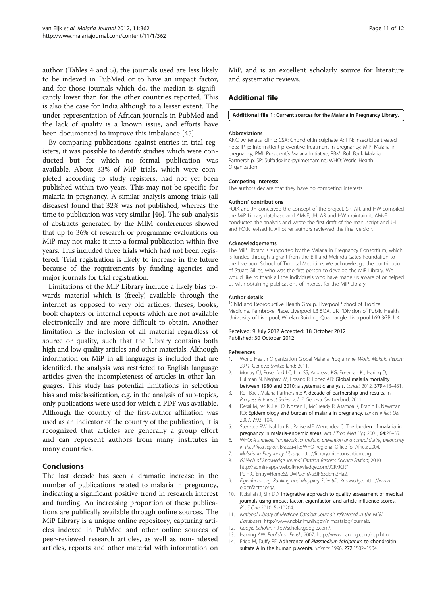<span id="page-10-0"></span>author (Tables [4](#page-5-0) and [5\)](#page-6-0), the journals used are less likely to be indexed in PubMed or to have an impact factor, and for those journals which do, the median is significantly lower than for the other countries reported. This is also the case for India although to a lesser extent. The under-representation of African journals in PubMed and the lack of quality is a known issue, and efforts have been documented to improve this imbalance [[45\]](#page-11-0).

By comparing publications against entries in trial registers, it was possible to identify studies which were conducted but for which no formal publication was available. About 33% of MiP trials, which were completed according to study registers, had not yet been published within two years. This may not be specific for malaria in pregnancy. A similar analysis among trials (all diseases) found that 32% was not published, whereas the time to publication was very similar [\[46\]](#page-11-0). The sub-analysis of abstracts generated by the MIM conferences showed that up to 36% of research or programme evaluations on MiP may not make it into a formal publication within five years. This included three trials which had not been registered. Trial registration is likely to increase in the future because of the requirements by funding agencies and major journals for trial registration.

Limitations of the MiP Library include a likely bias towards material which is (freely) available through the internet as opposed to very old articles, theses, books, book chapters or internal reports which are not available electronically and are more difficult to obtain. Another limitation is the inclusion of all material regardless of source or quality, such that the Library contains both high and low quality articles and other materials. Although information on MiP in all languages is included that are identified, the analysis was restricted to English language articles given the incompleteness of articles in other languages. This study has potential limitations in selection bias and misclassification, e.g. in the analysis of sub-topics, only publications were used for which a PDF was available. Although the country of the first-author affiliation was used as an indicator of the country of the publication, it is recognized that articles are generally a group effort and can represent authors from many institutes in many countries.

## **Conclusions**

The last decade has seen a dramatic increase in the number of publications related to malaria in pregnancy, indicating a significant positive trend in research interest and funding. An increasing proportion of these publications are publically available through online sources. The MiP Library is a unique online repository, capturing articles indexed in PubMed and other online sources of peer-reviewed research articles, as well as non-indexed articles, reports and other material with information on MiP, and is an excellent scholarly source for literature and systematic reviews.

## Additional file

[Additional file 1:](http://www.biomedcentral.com/content/supplementary/1475-2875-11-362-S1.pdf) Current sources for the Malaria in Pregnancy Library.

#### Abbreviations

ANC: Antenatal clinic; CSA: Chondroitin sulphate A; ITN: Insecticide treated nets; IPTp: Intermittent preventive treatment in pregnancy; MiP: Malaria in pregnancy; PMI: President's Malaria Initiative; RBM: Roll Back Malaria Partnership; SP: Sulfadoxine-pyrimethamine; WHO: World Health Organization.

#### Competing interests

The authors declare that they have no competing interests.

#### Authors' contributions

FOtK and JH conceived the concept of the project. SP, AR, and HW compiled the MiP Library database and AMvE, JH, AR and HW maintain it. AMvE conducted the analysis and wrote the first draft of the manuscript and JH and FOtK revised it. All other authors reviewed the final version.

#### Acknowledgements

The MiP Library is supported by the Malaria in Pregnancy Consortium, which is funded through a grant from the Bill and Melinda Gates Foundation to the Liverpool School of Tropical Medicine. We acknowledge the contribution of Stuart Gillies, who was the first person to develop the MiP Library. We would like to thank all the individuals who have made us aware of or helped us with obtaining publications of interest for the MiP Library.

#### Author details

<sup>1</sup> Child and Reproductive Health Group, Liverpool School of Tropical Medicine, Pembroke Place, Liverpool L3 5QA, UK. <sup>2</sup> Division of Public Health University of Liverpool, Whelan Building Quadrangle, Liverpool L69 3GB, UK.

#### Received: 9 July 2012 Accepted: 18 October 2012 Published: 30 October 2012

#### References

- 1. World Health Organization Global Malaria Programme: World Malaria Report: 2011. Geneva: Switzerland; 2011.
- 2. Murray CJ, Rosenfeld LC, Lim SS, Andrews KG, Foreman KJ, Haring D, Fullman N, Naghavi M, Lozano R, Lopez AD: Global malaria mortality between 1980 and 2010: a systematic analysis. Lancet 2012, 379:413–431.
- 3. Roll Back Malaria Partnership: A decade of partnership and results. In Progress & Impact Series, vol. 7. Geneva: Switzerland; 2011.
- 4. Desai M, ter Kuile FO, Nosten F, McGready R, Asamoa K, Brabin B, Newman RD: Epidemiology and burden of malaria in pregnancy. Lancet Infect Dis 2007, 7:93–104.
- 5. Steketee RW, Nahlen BL, Parise ME, Menendez C: The burden of malaria in pregnancy in malaria-endemic areas. Am J Trop Med Hyg 2001, 64:28-35.
- 6. WHO: A strategic framework for malaria prevention and control during pregnancy in the Africa region. Brazzaville: WHO Regional Office for Africa; 2004.
- 7. Malaria in Pregnancy Library. [http://library.mip-consortium.org.](http://library.mip-consortium.org)
- 8. ISI Web of Knowledge Journal Citation Reports Science Edition; 2010. [http://admin-apps.webofknowledge.com/JCR/JCR?](http://admin-apps.webofknowledge.com/JCR/JCR?PointOfEntry=Home&SID=P2emAa3JF63eEFn3Ha2) [PointOfEntry=Home&SID=P2emAa3JF63eEFn3Ha2](http://admin-apps.webofknowledge.com/JCR/JCR?PointOfEntry=Home&SID=P2emAa3JF63eEFn3Ha2).
- 9. Eigenfactor.org: Ranking and Mapping Scientific Knowledge. [http://www.](http://www.eigenfactor.org/) [eigenfactor.org/](http://www.eigenfactor.org/).
- 10. Rizkallah J, Sin DD: Integrative approach to quality assessment of medical journals using impact factor, eigenfactor, and article influence scores. PLoS One 2010, 5:e10204.
- 11. National Library of Medicine Catalog: Journals referenced in the NCBI Databases. [http://www.ncbi.nlm.nih.gov/nlmcatalog/journals.](http://www.ncbi.nlm.nih.gov/nlmcatalog/journals)
- 12. Google Scholar.<http://scholar.google.com/>.
- 13. Harzing AW: Publish or Perish; 2007. http://www.harzing.com/pop.htm.
- 14. Fried M, Duffy PE: Adherence of Plasmodium falciparum to chondroitin sulfate A in the human placenta. Science 1996, 272:1502-1504.